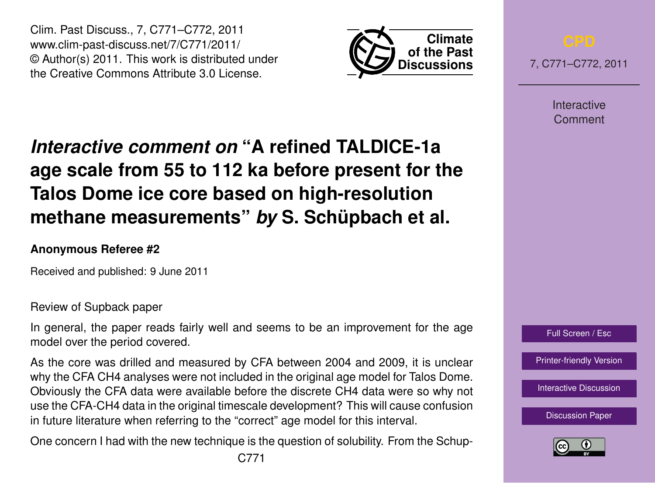Clim. Past Discuss., 7, C771–C772, 2011 www.clim-past-discuss.net/7/C771/2011/ © Author(s) 2011. This work is distributed under the Creative Commons Attribute 3.0 License.



7, C771–C772, 2011

**Interactive** Comment

## *Interactive comment on* **"A refined TALDICE-1a age scale from 55 to 112 ka before present for the Talos Dome ice core based on high-resolution methane measurements"** *by* **S. Schüpbach et al.**

## **Anonymous Referee #2**

Received and published: 9 June 2011

Review of Supback paper

In general, the paper reads fairly well and seems to be an improvement for the age model over the period covered.

As the core was drilled and measured by CFA between 2004 and 2009, it is unclear why the CFA CH4 analyses were not included in the original age model for Talos Dome. Obviously the CFA data were available before the discrete CH4 data were so why not use the CFA-CH4 data in the original timescale development? This will cause confusion in future literature when referring to the "correct" age model for this interval.

One concern I had with the new technique is the question of solubility. From the Schup-



[Printer-friendly Version](http://www.clim-past-discuss.net/7/C771/2011/cpd-7-C771-2011-print.pdf)

[Interactive Discussion](http://www.clim-past-discuss.net/7/1175/2011/cpd-7-1175-2011-discussion.html)

[Discussion Paper](http://www.clim-past-discuss.net/7/1175/2011/cpd-7-1175-2011.pdf)